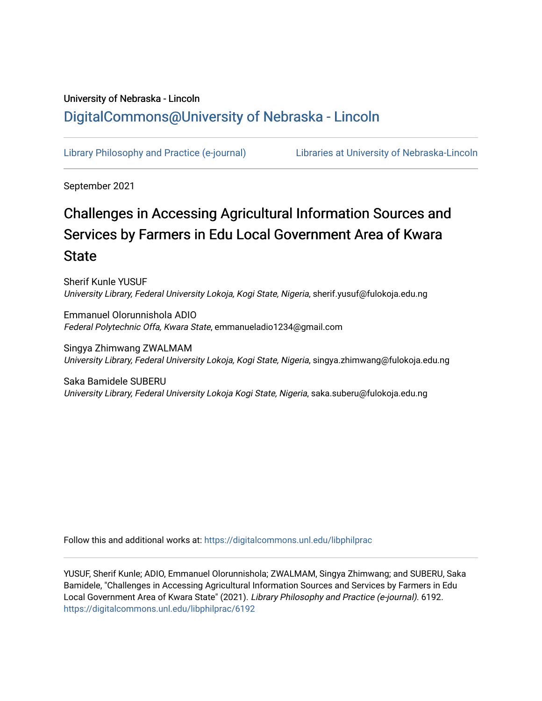# University of Nebraska - Lincoln [DigitalCommons@University of Nebraska - Lincoln](https://digitalcommons.unl.edu/)

[Library Philosophy and Practice \(e-journal\)](https://digitalcommons.unl.edu/libphilprac) [Libraries at University of Nebraska-Lincoln](https://digitalcommons.unl.edu/libraries) 

September 2021

# Challenges in Accessing Agricultural Information Sources and Services by Farmers in Edu Local Government Area of Kwara **State**

Sherif Kunle YUSUF University Library, Federal University Lokoja, Kogi State, Nigeria, sherif.yusuf@fulokoja.edu.ng

Emmanuel Olorunnishola ADIO Federal Polytechnic Offa, Kwara State, emmanueladio1234@gmail.com

Singya Zhimwang ZWALMAM University Library, Federal University Lokoja, Kogi State, Nigeria, singya.zhimwang@fulokoja.edu.ng

Saka Bamidele SUBERU University Library, Federal University Lokoja Kogi State, Nigeria, saka.suberu@fulokoja.edu.ng

Follow this and additional works at: [https://digitalcommons.unl.edu/libphilprac](https://digitalcommons.unl.edu/libphilprac?utm_source=digitalcommons.unl.edu%2Flibphilprac%2F6192&utm_medium=PDF&utm_campaign=PDFCoverPages) 

YUSUF, Sherif Kunle; ADIO, Emmanuel Olorunnishola; ZWALMAM, Singya Zhimwang; and SUBERU, Saka Bamidele, "Challenges in Accessing Agricultural Information Sources and Services by Farmers in Edu Local Government Area of Kwara State" (2021). Library Philosophy and Practice (e-journal). 6192. [https://digitalcommons.unl.edu/libphilprac/6192](https://digitalcommons.unl.edu/libphilprac/6192?utm_source=digitalcommons.unl.edu%2Flibphilprac%2F6192&utm_medium=PDF&utm_campaign=PDFCoverPages)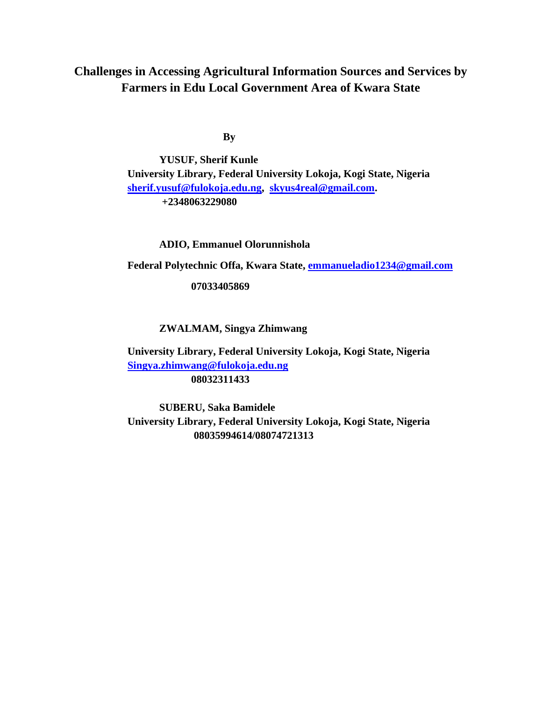# **Challenges in Accessing Agricultural Information Sources and Services by Farmers in Edu Local Government Area of Kwara State**

**By**

**YUSUF, Sherif Kunle University Library, Federal University Lokoja, Kogi State, Nigeria [sherif.yusuf@fulokoja.edu.ng,](mailto:sherif.yusuf@fulokoja.edu.ng) [skyus4real@gmail.com.](mailto:skyus4real@gmail.com) +2348063229080**

**ADIO, Emmanuel Olorunnishola** 

**Federal Polytechnic Offa, Kwara State, [emmanueladio1234@gmail.com](mailto:emmanueladio1234@gmail.com)**

**07033405869**

## **ZWALMAM, Singya Zhimwang**

 **University Library, Federal University Lokoja, Kogi State, Nigeria [Singya.zhimwang@fulokoja.edu.ng](mailto:Singya.zhimwang@fulokoja.edu.ng) 08032311433**

**SUBERU, Saka Bamidele University Library, Federal University Lokoja, Kogi State, Nigeria 08035994614/08074721313**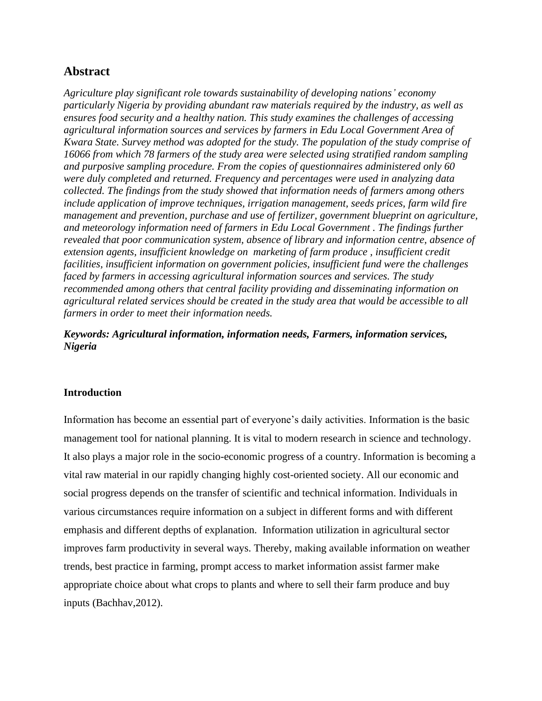# **Abstract**

*Agriculture play significant role towards sustainability of developing nations' economy particularly Nigeria by providing abundant raw materials required by the industry, as well as ensures food security and a healthy nation. This study examines the challenges of accessing agricultural information sources and services by farmers in Edu Local Government Area of Kwara State. Survey method was adopted for the study. The population of the study comprise of 16066 from which 78 farmers of the study area were selected using stratified random sampling and purposive sampling procedure. From the copies of questionnaires administered only 60 were duly completed and returned. Frequency and percentages were used in analyzing data collected. The findings from the study showed that information needs of farmers among others include application of improve techniques, irrigation management, seeds prices, farm wild fire management and prevention, purchase and use of fertilizer, government blueprint on agriculture, and meteorology information need of farmers in Edu Local Government . The findings further revealed that poor communication system, absence of library and information centre, absence of extension agents, insufficient knowledge on marketing of farm produce , insufficient credit facilities, insufficient information on government policies, insufficient fund were the challenges faced by farmers in accessing agricultural information sources and services. The study recommended among others that central facility providing and disseminating information on agricultural related services should be created in the study area that would be accessible to all farmers in order to meet their information needs.*

### *Keywords: Agricultural information, information needs, Farmers, information services, Nigeria*

#### **Introduction**

Information has become an essential part of everyone's daily activities. Information is the basic management tool for national planning. It is vital to modern research in science and technology. It also plays a major role in the socio-economic progress of a country. Information is becoming a vital raw material in our rapidly changing highly cost-oriented society. All our economic and social progress depends on the transfer of scientific and technical information. Individuals in various circumstances require information on a subject in different forms and with different emphasis and different depths of explanation. Information utilization in agricultural sector improves farm productivity in several ways. Thereby, making available information on weather trends, best practice in farming, prompt access to market information assist farmer make appropriate choice about what crops to plants and where to sell their farm produce and buy inputs (Bachhav,2012).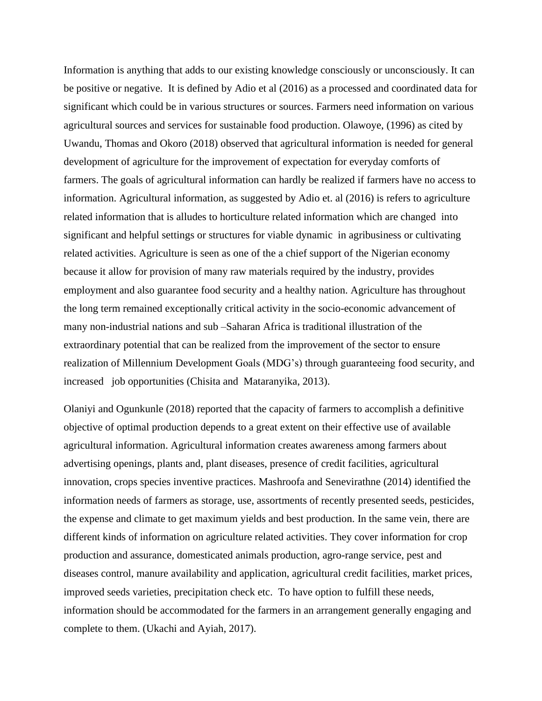Information is anything that adds to our existing knowledge consciously or unconsciously. It can be positive or negative. It is defined by Adio et al (2016) as a processed and coordinated data for significant which could be in various structures or sources. Farmers need information on various agricultural sources and services for sustainable food production. Olawoye, (1996) as cited by Uwandu, Thomas and Okoro (2018) observed that agricultural information is needed for general development of agriculture for the improvement of expectation for everyday comforts of farmers. The goals of agricultural information can hardly be realized if farmers have no access to information. Agricultural information, as suggested by Adio et. al (2016) is refers to agriculture related information that is alludes to horticulture related information which are changed into significant and helpful settings or structures for viable dynamic in agribusiness or cultivating related activities. Agriculture is seen as one of the a chief support of the Nigerian economy because it allow for provision of many raw materials required by the industry, provides employment and also guarantee food security and a healthy nation. Agriculture has throughout the long term remained exceptionally critical activity in the socio-economic advancement of many non-industrial nations and sub –Saharan Africa is traditional illustration of the extraordinary potential that can be realized from the improvement of the sector to ensure realization of Millennium Development Goals (MDG's) through guaranteeing food security, and increased job opportunities (Chisita and Mataranyika, 2013).

Olaniyi and Ogunkunle (2018) reported that the capacity of farmers to accomplish a definitive objective of optimal production depends to a great extent on their effective use of available agricultural information. Agricultural information creates awareness among farmers about advertising openings, plants and, plant diseases, presence of credit facilities, agricultural innovation, crops species inventive practices. Mashroofa and Senevirathne (2014) identified the information needs of farmers as storage, use, assortments of recently presented seeds, pesticides, the expense and climate to get maximum yields and best production. In the same vein, there are different kinds of information on agriculture related activities. They cover information for crop production and assurance, domesticated animals production, agro-range service, pest and diseases control, manure availability and application, agricultural credit facilities, market prices, improved seeds varieties, precipitation check etc. To have option to fulfill these needs, information should be accommodated for the farmers in an arrangement generally engaging and complete to them. (Ukachi and Ayiah, 2017).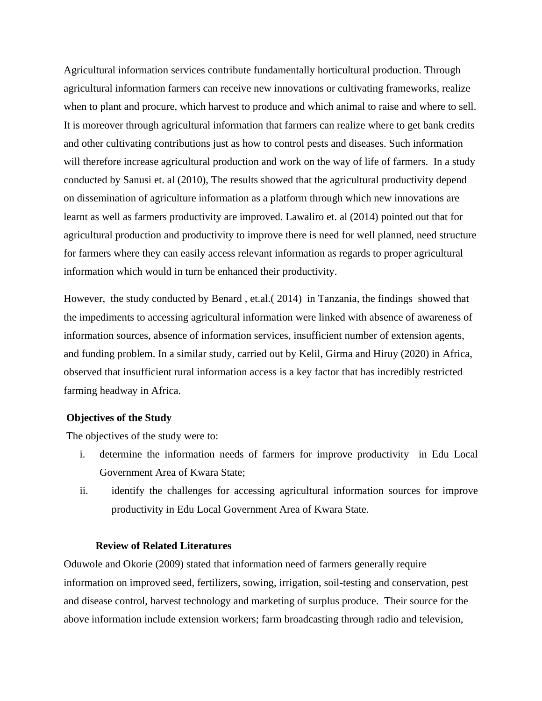Agricultural information services contribute fundamentally horticultural production. Through agricultural information farmers can receive new innovations or cultivating frameworks, realize when to plant and procure, which harvest to produce and which animal to raise and where to sell. It is moreover through agricultural information that farmers can realize where to get bank credits and other cultivating contributions just as how to control pests and diseases. Such information will therefore increase agricultural production and work on the way of life of farmers. In a study conducted by Sanusi et. al (2010), The results showed that the agricultural productivity depend on dissemination of agriculture information as a platform through which new innovations are learnt as well as farmers productivity are improved. Lawaliro et. al (2014) pointed out that for agricultural production and productivity to improve there is need for well planned, need structure for farmers where they can easily access relevant information as regards to proper agricultural information which would in turn be enhanced their productivity.

However, the study conducted by Benard , et.al.( 2014) in Tanzania, the findings showed that the impediments to accessing agricultural information were linked with absence of awareness of information sources, absence of information services, insufficient number of extension agents, and funding problem. In a similar study, carried out by Kelil, Girma and Hiruy (2020) in Africa, observed that insufficient rural information access is a key factor that has incredibly restricted farming headway in Africa.

#### **Objectives of the Study**

The objectives of the study were to:

- i. determine the information needs of farmers for improve productivity in Edu Local Government Area of Kwara State;
- ii. identify the challenges for accessing agricultural information sources for improve productivity in Edu Local Government Area of Kwara State.

#### **Review of Related Literatures**

Oduwole and Okorie (2009) stated that information need of farmers generally require information on improved seed, fertilizers, sowing, irrigation, soil-testing and conservation, pest and disease control, harvest technology and marketing of surplus produce. Their source for the above information include extension workers; farm broadcasting through radio and television,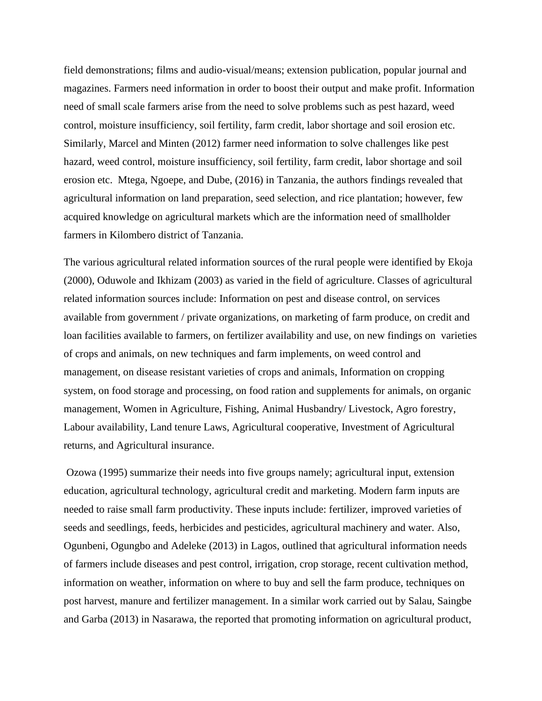field demonstrations; films and audio-visual/means; extension publication, popular journal and magazines. Farmers need information in order to boost their output and make profit. Information need of small scale farmers arise from the need to solve problems such as pest hazard, weed control, moisture insufficiency, soil fertility, farm credit, labor shortage and soil erosion etc. Similarly, Marcel and Minten (2012) farmer need information to solve challenges like pest hazard, weed control, moisture insufficiency, soil fertility, farm credit, labor shortage and soil erosion etc. Mtega, Ngoepe, and Dube, (2016) in Tanzania, the authors findings revealed that agricultural information on land preparation, seed selection, and rice plantation; however, few acquired knowledge on agricultural markets which are the information need of smallholder farmers in Kilombero district of Tanzania.

The various agricultural related information sources of the rural people were identified by Ekoja (2000), Oduwole and Ikhizam (2003) as varied in the field of agriculture. Classes of agricultural related information sources include: Information on pest and disease control, on services available from government / private organizations, on marketing of farm produce, on credit and loan facilities available to farmers, on fertilizer availability and use, on new findings on varieties of crops and animals, on new techniques and farm implements, on weed control and management, on disease resistant varieties of crops and animals, Information on cropping system, on food storage and processing, on food ration and supplements for animals, on organic management, Women in Agriculture, Fishing, Animal Husbandry/ Livestock, Agro forestry, Labour availability, Land tenure Laws, Agricultural cooperative, Investment of Agricultural returns, and Agricultural insurance.

Ozowa (1995) summarize their needs into five groups namely; agricultural input, extension education, agricultural technology, agricultural credit and marketing. Modern farm inputs are needed to raise small farm productivity. These inputs include: fertilizer, improved varieties of seeds and seedlings, feeds, herbicides and pesticides, agricultural machinery and water. Also, Ogunbeni, Ogungbo and Adeleke (2013) in Lagos, outlined that agricultural information needs of farmers include diseases and pest control, irrigation, crop storage, recent cultivation method, information on weather, information on where to buy and sell the farm produce, techniques on post harvest, manure and fertilizer management. In a similar work carried out by Salau, Saingbe and Garba (2013) in Nasarawa, the reported that promoting information on agricultural product,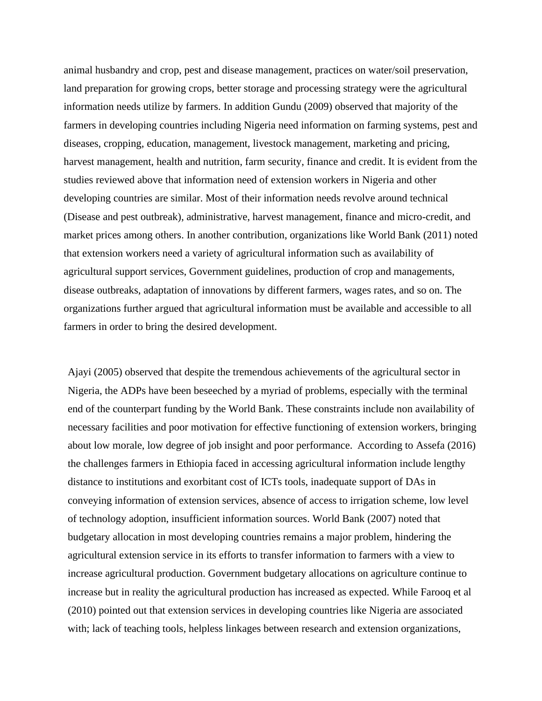animal husbandry and crop, pest and disease management, practices on water/soil preservation, land preparation for growing crops, better storage and processing strategy were the agricultural information needs utilize by farmers. In addition Gundu (2009) observed that majority of the farmers in developing countries including Nigeria need information on farming systems, pest and diseases, cropping, education, management, livestock management, marketing and pricing, harvest management, health and nutrition, farm security, finance and credit. It is evident from the studies reviewed above that information need of extension workers in Nigeria and other developing countries are similar. Most of their information needs revolve around technical (Disease and pest outbreak), administrative, harvest management, finance and micro-credit, and market prices among others. In another contribution, organizations like World Bank (2011) noted that extension workers need a variety of agricultural information such as availability of agricultural support services, Government guidelines, production of crop and managements, disease outbreaks, adaptation of innovations by different farmers, wages rates, and so on. The organizations further argued that agricultural information must be available and accessible to all farmers in order to bring the desired development.

Ajayi (2005) observed that despite the tremendous achievements of the agricultural sector in Nigeria, the ADPs have been beseeched by a myriad of problems, especially with the terminal end of the counterpart funding by the World Bank. These constraints include non availability of necessary facilities and poor motivation for effective functioning of extension workers, bringing about low morale, low degree of job insight and poor performance. According to Assefa (2016) the challenges farmers in Ethiopia faced in accessing agricultural information include lengthy distance to institutions and exorbitant cost of ICTs tools, inadequate support of DAs in conveying information of extension services, absence of access to irrigation scheme, low level of technology adoption, insufficient information sources. World Bank (2007) noted that budgetary allocation in most developing countries remains a major problem, hindering the agricultural extension service in its efforts to transfer information to farmers with a view to increase agricultural production. Government budgetary allocations on agriculture continue to increase but in reality the agricultural production has increased as expected. While Farooq et al (2010) pointed out that extension services in developing countries like Nigeria are associated with; lack of teaching tools, helpless linkages between research and extension organizations,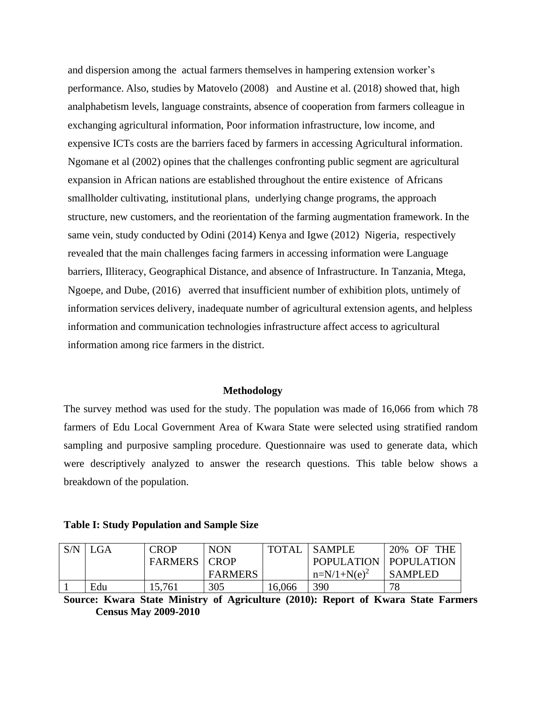and dispersion among the actual farmers themselves in hampering extension worker's performance. Also, studies by Matovelo (2008) and Austine et al. (2018) showed that, high analphabetism levels, language constraints, absence of cooperation from farmers colleague in exchanging agricultural information, Poor information infrastructure, low income, and expensive ICTs costs are the barriers faced by farmers in accessing Agricultural information. Ngomane et al (2002) opines that the challenges confronting public segment are agricultural expansion in African nations are established throughout the entire existence of Africans smallholder cultivating, institutional plans, underlying change programs, the approach structure, new customers, and the reorientation of the farming augmentation framework. In the same vein, study conducted by Odini (2014) Kenya and Igwe (2012) Nigeria, respectively revealed that the main challenges facing farmers in accessing information were Language barriers, Illiteracy, Geographical Distance, and absence of Infrastructure. In Tanzania, Mtega, Ngoepe, and Dube, (2016) averred that insufficient number of exhibition plots, untimely of information services delivery, inadequate number of agricultural extension agents, and helpless information and communication technologies infrastructure affect access to agricultural information among rice farmers in the district.

#### **Methodology**

The survey method was used for the study. The population was made of 16,066 from which 78 farmers of Edu Local Government Area of Kwara State were selected using stratified random sampling and purposive sampling procedure. Questionnaire was used to generate data, which were descriptively analyzed to answer the research questions. This table below shows a breakdown of the population.

#### **Table I: Study Population and Sample Size**

| S/N | <b>GA</b> | <b>CROP</b>           | <b>NON</b> | TOTAL  | I SAMPLE                | 20% OF THE     |  |
|-----|-----------|-----------------------|------------|--------|-------------------------|----------------|--|
|     |           | <b>FARMERS   CROP</b> |            |        | POPULATION   POPULATION |                |  |
|     |           |                       | FARMERS    |        | $n=N/1+N(e)^2$          | <b>SAMPLED</b> |  |
|     | Edu       | 15,761                | 305        | 16,066 | 390                     | 78             |  |

**Source: Kwara State Ministry of Agriculture (2010): Report of Kwara State Farmers Census May 2009-2010**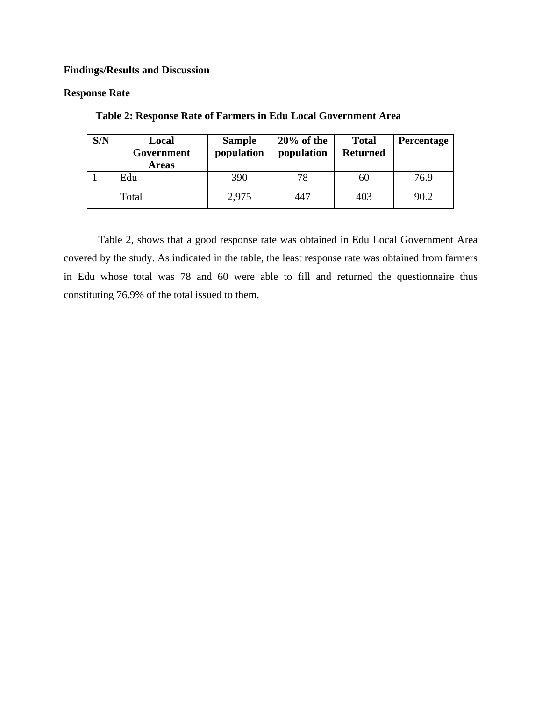## **Findings/Results and Discussion**

#### **Response Rate**

| S/N | Local<br>Government<br><b>Areas</b> | <b>Sample</b><br>population | $20\%$ of the<br>population | <b>Total</b><br><b>Returned</b> | <b>Percentage</b> |
|-----|-------------------------------------|-----------------------------|-----------------------------|---------------------------------|-------------------|
|     | Edu                                 | 390                         | 78                          | 60                              | 76.9              |
|     | Total                               | 2,975                       | 447                         | 403                             | 90.2              |

**Table 2: Response Rate of Farmers in Edu Local Government Area**

Table 2, shows that a good response rate was obtained in Edu Local Government Area covered by the study. As indicated in the table, the least response rate was obtained from farmers in Edu whose total was 78 and 60 were able to fill and returned the questionnaire thus constituting 76.9% of the total issued to them.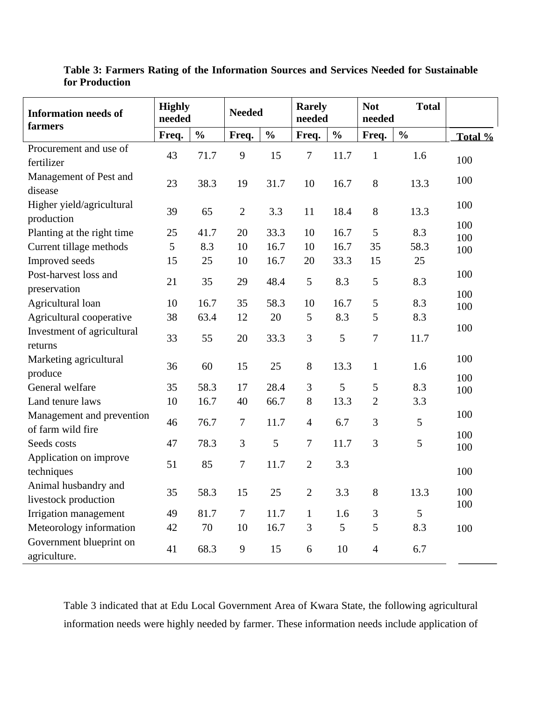| <b>Information needs of</b><br>farmers         | <b>Highly</b><br>needed |               | <b>Needed</b>    |               | <b>Rarely</b><br>needed |                | <b>Not</b><br><b>Total</b><br>needed |               |            |
|------------------------------------------------|-------------------------|---------------|------------------|---------------|-------------------------|----------------|--------------------------------------|---------------|------------|
|                                                | Freq.                   | $\frac{0}{0}$ | Freq.            | $\frac{0}{0}$ | Freq.                   | $\frac{0}{0}$  | Freq.                                | $\frac{0}{0}$ | Total %    |
| Procurement and use of<br>fertilizer           | 43                      | 71.7          | 9                | 15            | $\overline{7}$          | 11.7           | $\mathbf{1}$                         | 1.6           | 100        |
| Management of Pest and<br>disease              | 23                      | 38.3          | 19               | 31.7          | 10                      | 16.7           | 8                                    | 13.3          | 100        |
| Higher yield/agricultural<br>production        | 39                      | 65            | $\mathbf{2}$     | 3.3           | 11                      | 18.4           | 8                                    | 13.3          | 100        |
| Planting at the right time                     | 25                      | 41.7          | 20               | 33.3          | 10                      | 16.7           | 5                                    | 8.3           | 100<br>100 |
| Current tillage methods                        | 5                       | 8.3           | 10               | 16.7          | 10                      | 16.7           | 35                                   | 58.3          | 100        |
| Improved seeds                                 | 15                      | 25            | 10               | 16.7          | 20                      | 33.3           | 15                                   | 25            |            |
| Post-harvest loss and<br>preservation          | 21                      | 35            | 29               | 48.4          | 5                       | 8.3            | $\mathfrak{S}$                       | 8.3           | 100        |
| Agricultural loan                              | 10                      | 16.7          | 35               | 58.3          | 10                      | 16.7           | $\mathfrak{S}$                       | 8.3           | 100<br>100 |
| Agricultural cooperative                       | 38                      | 63.4          | 12               | 20            | 5                       | 8.3            | $\mathfrak{S}$                       | 8.3           |            |
| Investment of agricultural<br>returns          | 33                      | 55            | 20               | 33.3          | 3                       | 5              | $\overline{7}$                       | 11.7          | 100        |
| Marketing agricultural<br>produce              | 36                      | 60            | 15               | 25            | 8                       | 13.3           | $\mathbf{1}$                         | 1.6           | 100        |
| General welfare                                | 35                      | 58.3          | 17               | 28.4          | 3                       | 5              | 5                                    | 8.3           | 100<br>100 |
| Land tenure laws                               | 10                      | 16.7          | 40               | 66.7          | 8                       | 13.3           | $\overline{2}$                       | 3.3           |            |
| Management and prevention<br>of farm wild fire | 46                      | 76.7          | $\boldsymbol{7}$ | 11.7          | $\overline{4}$          | 6.7            | 3                                    | 5             | 100        |
| Seeds costs                                    | 47                      | 78.3          | $\mathfrak{Z}$   | 5             | $\tau$                  | 11.7           | 3                                    | 5             | 100<br>100 |
| Application on improve<br>techniques           | 51                      | 85            | $\boldsymbol{7}$ | 11.7          | $\overline{2}$          | 3.3            |                                      |               | 100        |
| Animal husbandry and<br>livestock production   | 35                      | 58.3          | 15               | 25            | $\mathbf{2}$            | 3.3            | 8                                    | 13.3          | 100<br>100 |
| Irrigation management                          | 49                      | 81.7          | $\tau$           | 11.7          | $\mathbf{1}$            | 1.6            | $\mathfrak{Z}$                       | 5             |            |
| Meteorology information                        | 42                      | 70            | 10               | 16.7          | 3                       | $\overline{5}$ | 5                                    | 8.3           | 100        |
| Government blueprint on<br>agriculture.        | 41                      | 68.3          | 9                | 15            | 6                       | 10             | $\overline{4}$                       | 6.7           |            |

**Table 3: Farmers Rating of the Information Sources and Services Needed for Sustainable for Production**

Table 3 indicated that at Edu Local Government Area of Kwara State, the following agricultural information needs were highly needed by farmer. These information needs include application of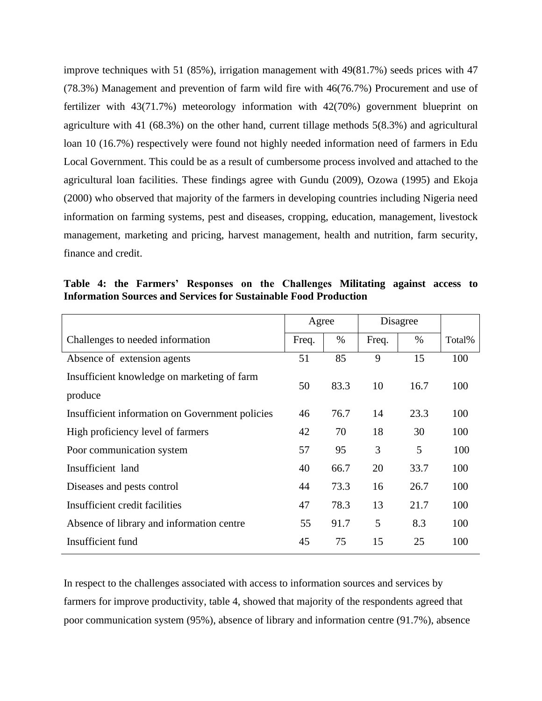improve techniques with 51 (85%), irrigation management with 49(81.7%) seeds prices with 47 (78.3%) Management and prevention of farm wild fire with 46(76.7%) Procurement and use of fertilizer with 43(71.7%) meteorology information with 42(70%) government blueprint on agriculture with 41 (68.3%) on the other hand, current tillage methods 5(8.3%) and agricultural loan 10 (16.7%) respectively were found not highly needed information need of farmers in Edu Local Government. This could be as a result of cumbersome process involved and attached to the agricultural loan facilities. These findings agree with Gundu (2009), Ozowa (1995) and Ekoja (2000) who observed that majority of the farmers in developing countries including Nigeria need information on farming systems, pest and diseases, cropping, education, management, livestock management, marketing and pricing, harvest management, health and nutrition, farm security, finance and credit.

**Table 4: the Farmers' Responses on the Challenges Militating against access to Information Sources and Services for Sustainable Food Production**

|                                                 | Agree |      | Disagree |      |        |
|-------------------------------------------------|-------|------|----------|------|--------|
| Challenges to needed information                | Freq. | $\%$ | Freq.    | $\%$ | Total% |
| Absence of extension agents                     |       | 85   | 9        | 15   | 100    |
| Insufficient knowledge on marketing of farm     | 50    | 83.3 | 10       | 16.7 | 100    |
| produce                                         |       |      |          |      |        |
| Insufficient information on Government policies | 46    | 76.7 | 14       | 23.3 | 100    |
| High proficiency level of farmers               | 42    | 70   | 18       | 30   | 100    |
| Poor communication system                       | 57    | 95   | 3        | 5    | 100    |
| Insufficient land                               | 40    | 66.7 | 20       | 33.7 | 100    |
| Diseases and pests control                      | 44    | 73.3 | 16       | 26.7 | 100    |
| Insufficient credit facilities                  | 47    | 78.3 | 13       | 21.7 | 100    |
| Absence of library and information centre       | 55    | 91.7 | 5        | 8.3  | 100    |
| Insufficient fund                               | 45    | 75   | 15       | 25   | 100    |

In respect to the challenges associated with access to information sources and services by farmers for improve productivity, table 4, showed that majority of the respondents agreed that poor communication system (95%), absence of library and information centre (91.7%), absence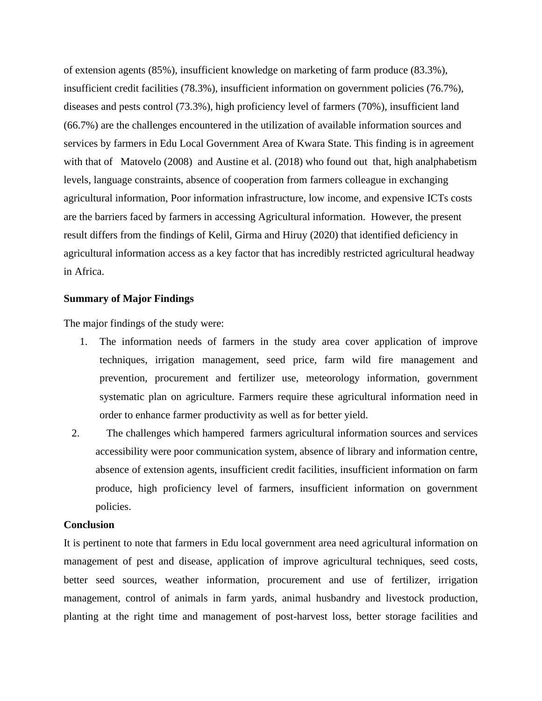of extension agents (85%), insufficient knowledge on marketing of farm produce (83.3%), insufficient credit facilities (78.3%), insufficient information on government policies (76.7%), diseases and pests control (73.3%), high proficiency level of farmers (70%), insufficient land (66.7%) are the challenges encountered in the utilization of available information sources and services by farmers in Edu Local Government Area of Kwara State. This finding is in agreement with that of Matovelo (2008) and Austine et al. (2018) who found out that, high analphabetism levels, language constraints, absence of cooperation from farmers colleague in exchanging agricultural information, Poor information infrastructure, low income, and expensive ICTs costs are the barriers faced by farmers in accessing Agricultural information. However, the present result differs from the findings of Kelil, Girma and Hiruy (2020) that identified deficiency in agricultural information access as a key factor that has incredibly restricted agricultural headway in Africa.

#### **Summary of Major Findings**

The major findings of the study were:

- 1. The information needs of farmers in the study area cover application of improve techniques, irrigation management, seed price, farm wild fire management and prevention, procurement and fertilizer use, meteorology information, government systematic plan on agriculture. Farmers require these agricultural information need in order to enhance farmer productivity as well as for better yield.
- 2. The challenges which hampered farmers agricultural information sources and services accessibility were poor communication system, absence of library and information centre, absence of extension agents, insufficient credit facilities, insufficient information on farm produce, high proficiency level of farmers, insufficient information on government policies.

#### **Conclusion**

It is pertinent to note that farmers in Edu local government area need agricultural information on management of pest and disease, application of improve agricultural techniques, seed costs, better seed sources, weather information, procurement and use of fertilizer, irrigation management, control of animals in farm yards, animal husbandry and livestock production, planting at the right time and management of post-harvest loss, better storage facilities and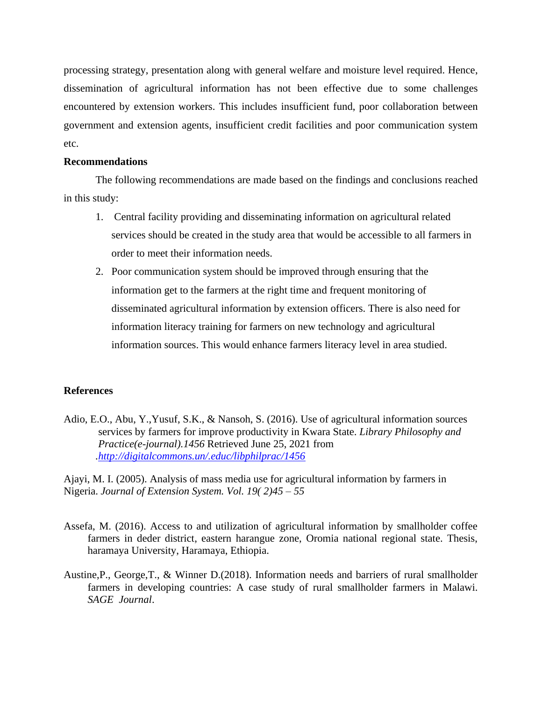processing strategy, presentation along with general welfare and moisture level required. Hence, dissemination of agricultural information has not been effective due to some challenges encountered by extension workers. This includes insufficient fund, poor collaboration between government and extension agents, insufficient credit facilities and poor communication system etc.

#### **Recommendations**

The following recommendations are made based on the findings and conclusions reached in this study:

- 1. Central facility providing and disseminating information on agricultural related services should be created in the study area that would be accessible to all farmers in order to meet their information needs.
- 2. Poor communication system should be improved through ensuring that the information get to the farmers at the right time and frequent monitoring of disseminated agricultural information by extension officers. There is also need for information literacy training for farmers on new technology and agricultural information sources. This would enhance farmers literacy level in area studied.

#### **References**

Adio, E.O., Abu, Y.,Yusuf, S.K., & Nansoh, S. (2016). Use of agricultural information sources services by farmers for improve productivity in Kwara State. *Library Philosophy and Practice(e-journal).1456* Retrieved June 25, 2021 from *[.http://digitalcommons.un/.educ/libphilprac/1456](http://digitalcommons.un/.educ/libphilprac/1456)*

Ajayi, M. I. (2005). Analysis of mass media use for agricultural information by farmers in Nigeria. *Journal of Extension System. Vol. 19( 2)45 – 55*

- Assefa, M. (2016). Access to and utilization of agricultural information by smallholder coffee farmers in deder district, eastern harangue zone, Oromia national regional state. Thesis, haramaya University, Haramaya, Ethiopia.
- Austine,P., George,T., & Winner D.(2018). Information needs and barriers of rural smallholder farmers in developing countries: A case study of rural smallholder farmers in Malawi. *SAGE Journal*.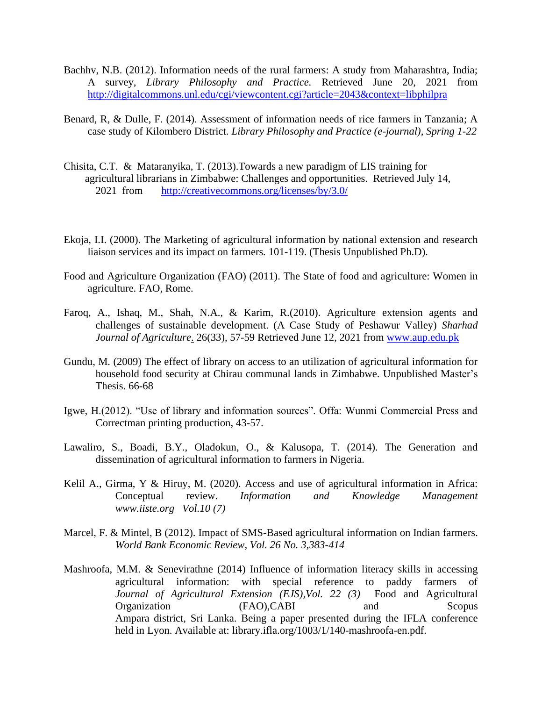- Bachhv, N.B. (2012). Information needs of the rural farmers: A study from Maharashtra, India; A survey, *Library Philosophy and Practice.* Retrieved June 20, 2021 from <http://digitalcommons.unl.edu/cgi/viewcontent.cgi?article=2043&context=libphilpra>
- Benard, R, & Dulle, F. (2014). Assessment of information needs of rice farmers in Tanzania; A case study of Kilombero District. *Library Philosophy and Practice (e-journal), Spring 1-22*
- Chisita, C.T. & Mataranyika, T. (2013).Towards a new paradigm of LIS training for agricultural librarians in Zimbabwe: Challenges and opportunities. Retrieved July 14, 2021 from <http://creativecommons.org/licenses/by/3.0/>
- Ekoja, I.I. (2000). The Marketing of agricultural information by national extension and research liaison services and its impact on farmers*.* 101-119. (Thesis Unpublished Ph.D).
- Food and Agriculture Organization (FAO) (2011). The State of food and agriculture: Women in agriculture. FAO, Rome.
- Faroq, A., Ishaq, M., Shah, N.A., & Karim, R.(2010). Agriculture extension agents and challenges of sustainable development. (A Case Study of Peshawur Valley) *Sharhad Journal of Agriculture*. 26(33), 57-59 Retrieved June 12, 2021 from [www.aup.edu.pk](http://www.aup.edu.pk/)
- Gundu, M. (2009) The effect of library on access to an utilization of agricultural information for household food security at Chirau communal lands in Zimbabwe. Unpublished Master's Thesis. 66-68
- Igwe, H.(2012). "Use of library and information sources". Offa: Wunmi Commercial Press and Correctman printing production, 43-57.
- Lawaliro, S., Boadi, B.Y., Oladokun, O., & Kalusopa, T. (2014). The Generation and dissemination of agricultural information to farmers in Nigeria.
- Kelil A., Girma, Y & Hiruy, M. (2020). Access and use of agricultural information in Africa: Conceptual review. *Information and Knowledge Management www.iiste.org Vol.10 (7)*
- Marcel, F. & Mintel, B (2012). Impact of SMS-Based agricultural information on Indian farmers. *World Bank Economic Review, Vol. 26 No. 3,383-414*
- Mashroofa, M.M. & Senevirathne (2014) Influence of information literacy skills in accessing agricultural information: with special reference to paddy farmers of *Journal of Agricultural Extension (EJS),Vol. 22 (3)* Food and Agricultural Organization (FAO),CABI and Scopus Ampara district, Sri Lanka. Being a paper presented during the IFLA conference held in Lyon. Available at: library.ifla.org/1003/1/140-mashroofa-en.pdf.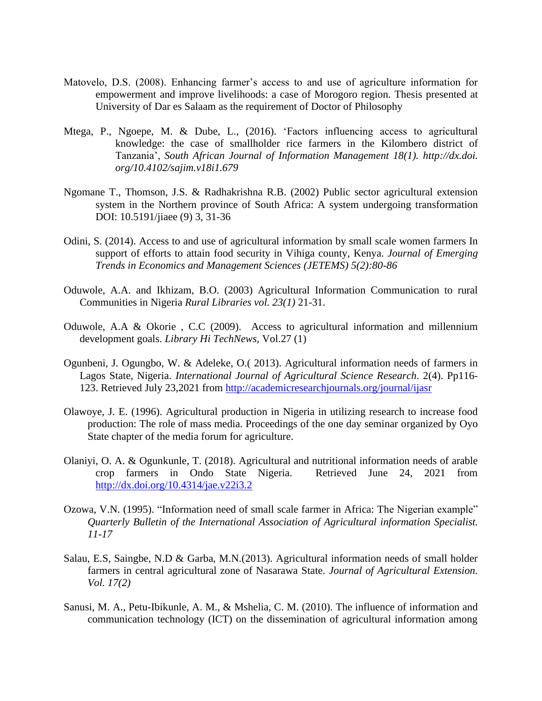- Matovelo, D.S. (2008). Enhancing farmer's access to and use of agriculture information for empowerment and improve livelihoods: a case of Morogoro region. Thesis presented at University of Dar es Salaam as the requirement of Doctor of Philosophy
- Mtega, P., Ngoepe, M. & Dube, L., (2016). 'Factors influencing access to agricultural knowledge: the case of smallholder rice farmers in the Kilombero district of Tanzania', *South African Journal of Information Management 18(1). http://dx.doi. org/10.4102/sajim.v18i1.679*
- Ngomane T., Thomson, J.S. & Radhakrishna R.B. (2002) Public sector agricultural extension system in the Northern province of South Africa: A system undergoing transformation DOI: 10.5191/jiaee (9) 3, 31-36
- Odini, S. (2014). Access to and use of agricultural information by small scale women farmers In support of efforts to attain food security in Vihiga county, Kenya. *Journal of Emerging Trends in Economics and Management Sciences (JETEMS) 5(2):80-86*
- Oduwole, A.A. and Ikhizam, B.O. (2003) Agricultural Information Communication to rural Communities in Nigeria *Rural Libraries vol. 23(1)* 21-31.
- Oduwole, A.A & Okorie , C.C (2009). Access to agricultural information and millennium development goals. *Library Hi TechNews,* Vol.27 (1)
- Ogunbeni, J. Ogungbo, W. & Adeleke, O.( 2013). Agricultural information needs of farmers in Lagos State, Nigeria. *International Journal of Agricultural Science Research*. 2(4). Pp116- 123. Retrieved July 23,2021 from<http://academicresearchjournals.org/journal/ijasr>
- Olawoye, J. E. (1996). Agricultural production in Nigeria in utilizing research to increase food production: The role of mass media. Proceedings of the one day seminar organized by Oyo State chapter of the media forum for agriculture.
- Olaniyi, O. A. & Ogunkunle, T. (2018). Agricultural and nutritional information needs of arable crop farmers in Ondo State Nigeria. Retrieved June 24, 2021 from <http://dx.doi.org/10.4314/jae.v22i3.2>
- Ozowa, V.N. (1995). "Information need of small scale farmer in Africa: The Nigerian example" *Quarterly Bulletin of the International Association of Agricultural information Specialist. 11-17*
- Salau, E.S, Saingbe, N.D & Garba, M.N.(2013). Agricultural information needs of small holder farmers in central agricultural zone of Nasarawa State. *Journal of Agricultural Extension. Vol. 17(2)*
- Sanusi, M. A., Petu-Ibikunle, A. M., & Mshelia, C. M. (2010). The influence of information and communication technology (ICT) on the dissemination of agricultural information among